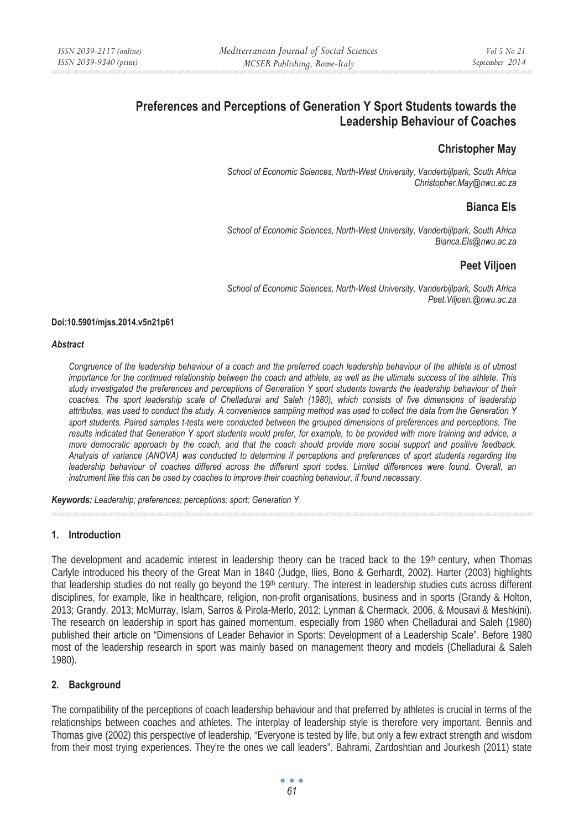## **Preferences and Perceptions of Generation Y Sport Students towards the Leadership Behaviour of Coaches**

## **Christopher May**

*School of Economic Sciences, North-West University, Vanderbijlpark, South Africa Christopher.May@nwu.ac.za* 

## **Bianca Els**

*School of Economic Sciences, North-West University, Vanderbijlpark, South Africa Bianca.Els@nwu.ac.za* 

## **Peet Viljoen**

*School of Economic Sciences, North-West University, Vanderbijlpark, South Africa Peet.Viljoen.@nwu.ac.za* 

#### **Doi:10.5901/mjss.2014.v5n21p61**

#### *Abstract*

*Congruence of the leadership behaviour of a coach and the preferred coach leadership behaviour of the athlete is of utmost importance for the continued relationship between the coach and athlete, as well as the ultimate success of the athlete. This study investigated the preferences and perceptions of Generation Y sport students towards the leadership behaviour of their*  coaches. The sport leadership scale of Chelladurai and Saleh (1980), which consists of five dimensions of leadership *attributes, was used to conduct the study. A convenience sampling method was used to collect the data from the Generation Y sport students. Paired samples t-tests were conducted between the grouped dimensions of preferences and perceptions. The results indicated that Generation Y sport students would prefer, for example, to be provided with more training and advice, a more democratic approach by the coach, and that the coach should provide more social support and positive feedback. Analysis of variance (ANOVA) was conducted to determine if perceptions and preferences of sport students regarding the*  leadership behaviour of coaches differed across the different sport codes. Limited differences were found. Overall, an *instrument like this can be used by coaches to improve their coaching behaviour, if found necessary.* 

*Keywords: Leadership; preferences; perceptions; sport; Generation Y* 

#### **1. Introduction**

The development and academic interest in leadership theory can be traced back to the 19th century, when Thomas Carlyle introduced his theory of the Great Man in 1840 (Judge, Ilies, Bono & Gerhardt, 2002). Harter (2003) highlights that leadership studies do not really go beyond the 19th century. The interest in leadership studies cuts across different disciplines, for example, like in healthcare, religion, non-profit organisations, business and in sports (Grandy & Holton, 2013; Grandy, 2013; McMurray, Islam, Sarros & Pirola-Merlo, 2012; Lynman & Chermack, 2006, & Mousavi & Meshkini). The research on leadership in sport has gained momentum, especially from 1980 when Chelladurai and Saleh (1980) published their article on "Dimensions of Leader Behavior in Sports: Development of a Leadership Scale". Before 1980 most of the leadership research in sport was mainly based on management theory and models (Chelladurai & Saleh 1980).

## **2. Background**

The compatibility of the perceptions of coach leadership behaviour and that preferred by athletes is crucial in terms of the relationships between coaches and athletes. The interplay of leadership style is therefore very important. Bennis and Thomas give (2002) this perspective of leadership, "Everyone is tested by life, but only a few extract strength and wisdom from their most trying experiences. They're the ones we call leaders". Bahrami, Zardoshtian and Jourkesh (2011) state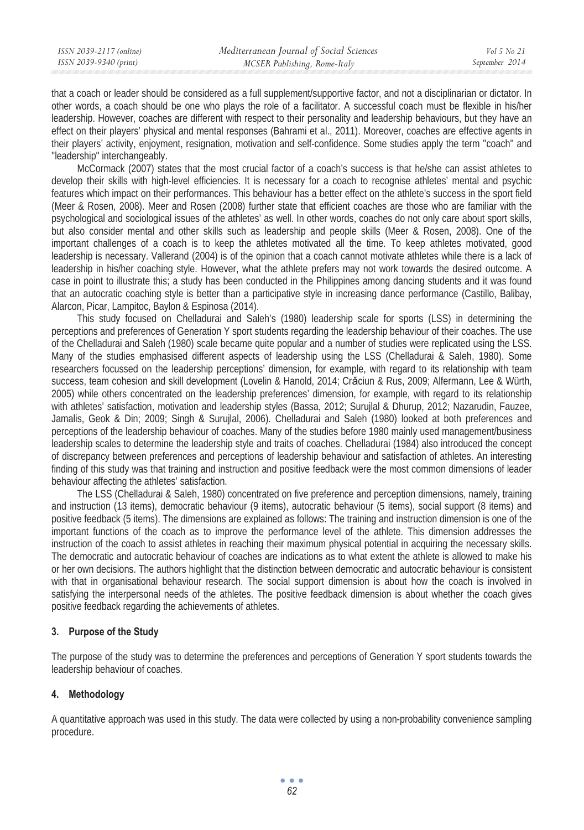that a coach or leader should be considered as a full supplement/supportive factor, and not a disciplinarian or dictator. In other words, a coach should be one who plays the role of a facilitator. A successful coach must be flexible in his/her leadership. However, coaches are different with respect to their personality and leadership behaviours, but they have an effect on their players' physical and mental responses (Bahrami et al., 2011). Moreover, coaches are effective agents in their players' activity, enjoyment, resignation, motivation and self-confidence. Some studies apply the term ''coach'' and ''leadership'' interchangeably.

McCormack (2007) states that the most crucial factor of a coach's success is that he/she can assist athletes to develop their skills with high-level efficiencies. It is necessary for a coach to recognise athletes' mental and psychic features which impact on their performances. This behaviour has a better effect on the athlete's success in the sport field (Meer & Rosen, 2008). Meer and Rosen (2008) further state that efficient coaches are those who are familiar with the psychological and sociological issues of the athletes' as well. In other words, coaches do not only care about sport skills, but also consider mental and other skills such as leadership and people skills (Meer & Rosen, 2008). One of the important challenges of a coach is to keep the athletes motivated all the time. To keep athletes motivated, good leadership is necessary. Vallerand (2004) is of the opinion that a coach cannot motivate athletes while there is a lack of leadership in his/her coaching style. However, what the athlete prefers may not work towards the desired outcome. A case in point to illustrate this; a study has been conducted in the Philippines among dancing students and it was found that an autocratic coaching style is better than a participative style in increasing dance performance (Castillo, Balibay, Alarcon, Picar, Lampitoc, Baylon & Espinosa (2014).

This study focused on Chelladurai and Saleh's (1980) leadership scale for sports (LSS) in determining the perceptions and preferences of Generation Y sport students regarding the leadership behaviour of their coaches. The use of the Chelladurai and Saleh (1980) scale became quite popular and a number of studies were replicated using the LSS. Many of the studies emphasised different aspects of leadership using the LSS (Chelladurai & Saleh, 1980). Some researchers focussed on the leadership perceptions' dimension, for example, with regard to its relationship with team success, team cohesion and skill development (Lovelin & Hanold, 2014; Crăciun & Rus, 2009; Alfermann, Lee & Würth, 2005) while others concentrated on the leadership preferences' dimension, for example, with regard to its relationship with athletes' satisfaction, motivation and leadership styles (Bassa, 2012; Surujlal & Dhurup, 2012; Nazarudin, Fauzee, Jamalis, Geok & Din; 2009; Singh & Surujlal, 2006). Chelladurai and Saleh (1980) looked at both preferences and perceptions of the leadership behaviour of coaches. Many of the studies before 1980 mainly used management/business leadership scales to determine the leadership style and traits of coaches. Chelladurai (1984) also introduced the concept of discrepancy between preferences and perceptions of leadership behaviour and satisfaction of athletes. An interesting finding of this study was that training and instruction and positive feedback were the most common dimensions of leader behaviour affecting the athletes' satisfaction.

The LSS (Chelladurai & Saleh, 1980) concentrated on five preference and perception dimensions, namely, training and instruction (13 items), democratic behaviour (9 items), autocratic behaviour (5 items), social support (8 items) and positive feedback (5 items). The dimensions are explained as follows: The training and instruction dimension is one of the important functions of the coach as to improve the performance level of the athlete. This dimension addresses the instruction of the coach to assist athletes in reaching their maximum physical potential in acquiring the necessary skills. The democratic and autocratic behaviour of coaches are indications as to what extent the athlete is allowed to make his or her own decisions. The authors highlight that the distinction between democratic and autocratic behaviour is consistent with that in organisational behaviour research. The social support dimension is about how the coach is involved in satisfying the interpersonal needs of the athletes. The positive feedback dimension is about whether the coach gives positive feedback regarding the achievements of athletes.

## **3. Purpose of the Study**

The purpose of the study was to determine the preferences and perceptions of Generation Y sport students towards the leadership behaviour of coaches.

## **4. Methodology**

A quantitative approach was used in this study. The data were collected by using a non-probability convenience sampling procedure.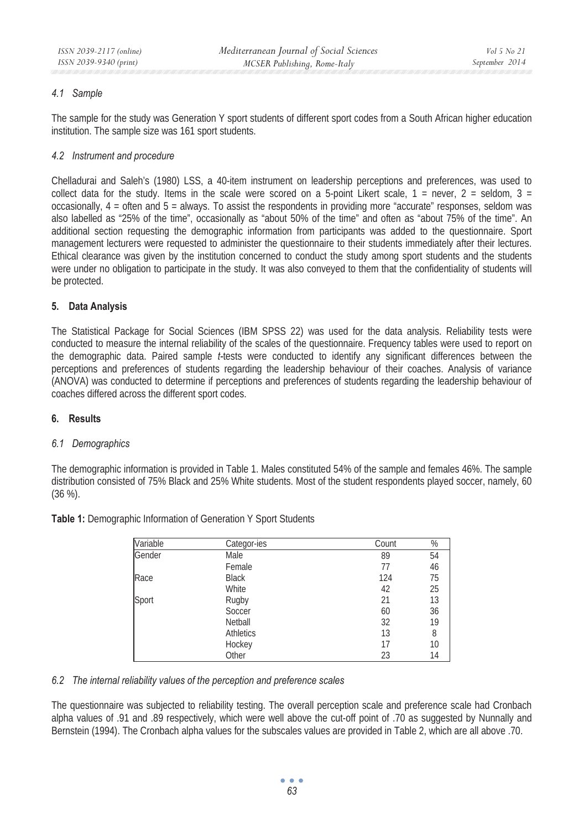### *4.1 Sample*

The sample for the study was Generation Y sport students of different sport codes from a South African higher education institution. The sample size was 161 sport students.

### *4.2 Instrument and procedure*

Chelladurai and Saleh's (1980) LSS, a 40-item instrument on leadership perceptions and preferences, was used to collect data for the study. Items in the scale were scored on a 5-point Likert scale,  $1 =$  never,  $2 =$  seldom,  $3 =$ occasionally, 4 = often and 5 = always. To assist the respondents in providing more "accurate" responses, seldom was also labelled as "25% of the time", occasionally as "about 50% of the time" and often as "about 75% of the time". An additional section requesting the demographic information from participants was added to the questionnaire. Sport management lecturers were requested to administer the questionnaire to their students immediately after their lectures. Ethical clearance was given by the institution concerned to conduct the study among sport students and the students were under no obligation to participate in the study. It was also conveyed to them that the confidentiality of students will be protected.

#### **5. Data Analysis**

The Statistical Package for Social Sciences (IBM SPSS 22) was used for the data analysis. Reliability tests were conducted to measure the internal reliability of the scales of the questionnaire. Frequency tables were used to report on the demographic data. Paired sample *t-*tests were conducted to identify any significant differences between the perceptions and preferences of students regarding the leadership behaviour of their coaches. Analysis of variance (ANOVA) was conducted to determine if perceptions and preferences of students regarding the leadership behaviour of coaches differed across the different sport codes.

#### **6. Results**

#### *6.1 Demographics*

The demographic information is provided in Table 1. Males constituted 54% of the sample and females 46%. The sample distribution consisted of 75% Black and 25% White students. Most of the student respondents played soccer, namely, 60 (36 %).

| Variable | Categor-ies      | Count | %  |
|----------|------------------|-------|----|
| Gender   | Male             | 89    | 54 |
|          | Female           | 77    | 46 |
| Race     | <b>Black</b>     | 124   | 75 |
|          | White            | 42    | 25 |
| Sport    | Rugby            | 21    | 13 |
|          | Soccer           | 60    | 36 |
|          | Netball          | 32    | 19 |
|          | <b>Athletics</b> | 13    | 8  |
|          | Hockey           | 17    | 10 |
|          | Other            | 23    | 14 |

**Table 1:** Demographic Information of Generation Y Sport Students

#### *6.2 The internal reliability values of the perception and preference scales*

The questionnaire was subjected to reliability testing. The overall perception scale and preference scale had Cronbach alpha values of .91 and .89 respectively, which were well above the cut-off point of .70 as suggested by Nunnally and Bernstein (1994). The Cronbach alpha values for the subscales values are provided in Table 2, which are all above .70.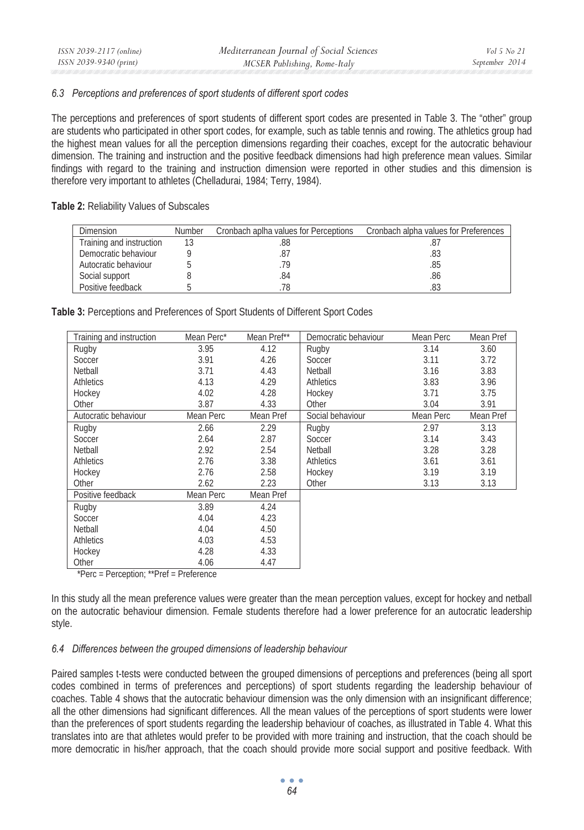# *September 2014*

#### *6.3 Perceptions and preferences of sport students of different sport codes*

The perceptions and preferences of sport students of different sport codes are presented in Table 3. The "other" group are students who participated in other sport codes, for example, such as table tennis and rowing. The athletics group had the highest mean values for all the perception dimensions regarding their coaches, except for the autocratic behaviour dimension. The training and instruction and the positive feedback dimensions had high preference mean values. Similar findings with regard to the training and instruction dimension were reported in other studies and this dimension is therefore very important to athletes (Chelladurai, 1984; Terry, 1984).

#### **Table 2:** Reliability Values of Subscales

| <b>Dimension</b>         | Number | Cronbach aplha values for Perceptions | Cronbach alpha values for Preferences |
|--------------------------|--------|---------------------------------------|---------------------------------------|
| Training and instruction |        | .88                                   |                                       |
| Democratic behaviour     |        | .87                                   | .83                                   |
| Autocratic behaviour     |        | 79                                    | .85                                   |
| Social support           |        | .84                                   | .86                                   |
| Positive feedback        |        | 78                                    | .83                                   |

**Table 3:** Perceptions and Preferences of Sport Students of Different Sport Codes

| Training and instruction | Mean Perc* | Mean Pref** | Democratic behaviour | Mean Perc | Mean Pref |
|--------------------------|------------|-------------|----------------------|-----------|-----------|
| Rugby                    | 3.95       | 4.12        | Rugby                | 3.14      | 3.60      |
| Soccer                   | 3.91       | 4.26        | Soccer               | 3.11      | 3.72      |
| Netball                  | 3.71       | 4.43        | Netball              | 3.16      | 3.83      |
| <b>Athletics</b>         | 4.13       | 4.29        | <b>Athletics</b>     | 3.83      | 3.96      |
| Hockey                   | 4.02       | 4.28        | Hockey               | 3.71      | 3.75      |
| Other                    | 3.87       | 4.33        | Other                | 3.04      | 3.91      |
| Autocratic behaviour     | Mean Perc  | Mean Pref   | Social behaviour     | Mean Perc | Mean Pref |
| Rugby                    | 2.66       | 2.29        | Rugby                | 2.97      | 3.13      |
| Soccer                   | 2.64       | 2.87        | Soccer               | 3.14      | 3.43      |
| Netball                  | 2.92       | 2.54        | Netball              | 3.28      | 3.28      |
| <b>Athletics</b>         | 2.76       | 3.38        | <b>Athletics</b>     | 3.61      | 3.61      |
| Hockey                   | 2.76       | 2.58        | Hockey               | 3.19      | 3.19      |
| Other                    | 2.62       | 2.23        | Other                | 3.13      | 3.13      |
| Positive feedback        | Mean Perc  | Mean Pref   |                      |           |           |
| Rugby                    | 3.89       | 4.24        |                      |           |           |
| Soccer                   | 4.04       | 4.23        |                      |           |           |
| Netball                  | 4.04       | 4.50        |                      |           |           |
| <b>Athletics</b>         | 4.03       | 4.53        |                      |           |           |
| Hockey                   | 4.28       | 4.33        |                      |           |           |
| Other                    | 4.06       | 4.47        |                      |           |           |

\*Perc = Perception; \*\*Pref = Preference

In this study all the mean preference values were greater than the mean perception values, except for hockey and netball on the autocratic behaviour dimension. Female students therefore had a lower preference for an autocratic leadership style.

## *6.4 Differences between the grouped dimensions of leadership behaviour*

Paired samples t-tests were conducted between the grouped dimensions of perceptions and preferences (being all sport codes combined in terms of preferences and perceptions) of sport students regarding the leadership behaviour of coaches. Table 4 shows that the autocratic behaviour dimension was the only dimension with an insignificant difference; all the other dimensions had significant differences. All the mean values of the perceptions of sport students were lower than the preferences of sport students regarding the leadership behaviour of coaches, as illustrated in Table 4. What this translates into are that athletes would prefer to be provided with more training and instruction, that the coach should be more democratic in his/her approach, that the coach should provide more social support and positive feedback. With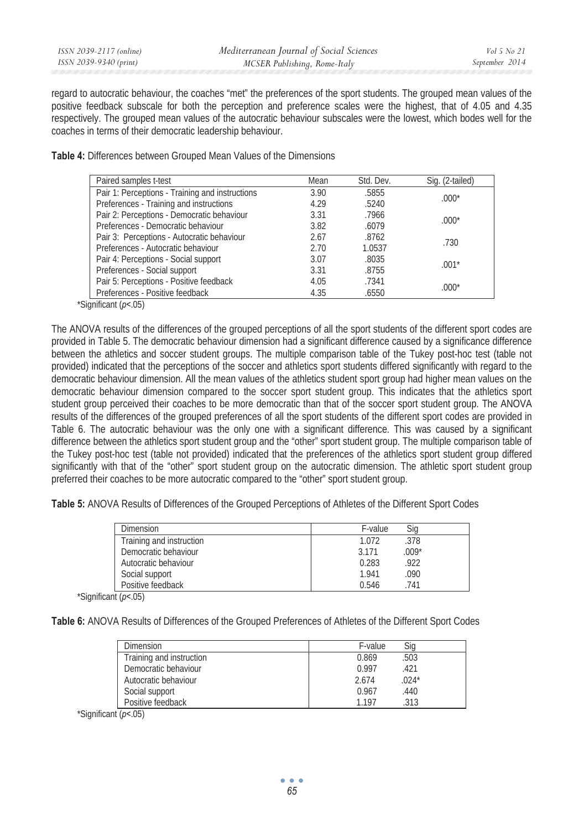| ISSN 2039-2117 (online) | Mediterranean Journal of Social Sciences | Vol 5 No 21    |
|-------------------------|------------------------------------------|----------------|
| ISSN 2039-9340 (print)  | MCSER Publishing, Rome-Italy             | September 2014 |

regard to autocratic behaviour, the coaches "met" the preferences of the sport students. The grouped mean values of the positive feedback subscale for both the perception and preference scales were the highest, that of 4.05 and 4.35 respectively. The grouped mean values of the autocratic behaviour subscales were the lowest, which bodes well for the coaches in terms of their democratic leadership behaviour.

**Table 4:** Differences between Grouped Mean Values of the Dimensions

| Paired samples t-test                           | Mean | Std. Dev. | Sig. (2-tailed) |
|-------------------------------------------------|------|-----------|-----------------|
| Pair 1: Perceptions - Training and instructions | 3.90 | .5855     | $.000*$         |
| Preferences - Training and instructions         | 4.29 | .5240     |                 |
| Pair 2: Perceptions - Democratic behaviour      | 3.31 | .7966     |                 |
| Preferences - Democratic behaviour              | 3.82 | .6079     | $.000*$         |
| Pair 3: Perceptions - Autocratic behaviour      | 2.67 | .8762     | .730            |
| Preferences - Autocratic behaviour              | 2.70 | 1.0537    |                 |
| Pair 4: Perceptions - Social support            | 3.07 | .8035     | $.001*$         |
| Preferences - Social support                    | 3.31 | .8755     |                 |
| Pair 5: Perceptions - Positive feedback         | 4.05 | .7341     | $.000*$         |
| Preferences - Positive feedback                 | 4.35 | .6550     |                 |

\*Significant (*p<*.05)

The ANOVA results of the differences of the grouped perceptions of all the sport students of the different sport codes are provided in Table 5. The democratic behaviour dimension had a significant difference caused by a significance difference between the athletics and soccer student groups. The multiple comparison table of the Tukey post-hoc test (table not provided) indicated that the perceptions of the soccer and athletics sport students differed significantly with regard to the democratic behaviour dimension. All the mean values of the athletics student sport group had higher mean values on the democratic behaviour dimension compared to the soccer sport student group. This indicates that the athletics sport student group perceived their coaches to be more democratic than that of the soccer sport student group. The ANOVA results of the differences of the grouped preferences of all the sport students of the different sport codes are provided in Table 6. The autocratic behaviour was the only one with a significant difference. This was caused by a significant difference between the athletics sport student group and the "other" sport student group. The multiple comparison table of the Tukey post-hoc test (table not provided) indicated that the preferences of the athletics sport student group differed significantly with that of the "other" sport student group on the autocratic dimension. The athletic sport student group preferred their coaches to be more autocratic compared to the "other" sport student group.

**Table 5:** ANOVA Results of Differences of the Grouped Perceptions of Athletes of the Different Sport Codes

| Dimension                | Sic<br>F-value   |
|--------------------------|------------------|
| Training and instruction | 1.072<br>.378    |
| Democratic behaviour     | $.009*$<br>3.171 |
| Autocratic behaviour     | 0.283<br>.922    |
| Social support           | 1.941<br>.090    |
| Positive feedback        | 0.546<br>741     |

\*Significant (*p<*.05)

**Table 6:** ANOVA Results of Differences of the Grouped Preferences of Athletes of the Different Sport Codes

| Dimension                | F-value | Sig     |
|--------------------------|---------|---------|
| Training and instruction | 0.869   | .503    |
| Democratic behaviour     | 0.997   | .421    |
| Autocratic behaviour     | 2.674   | $.024*$ |
| Social support           | 0.967   | .440    |
| Positive feedback        | 1.197   | 313     |

\*Significant (*p<*.05)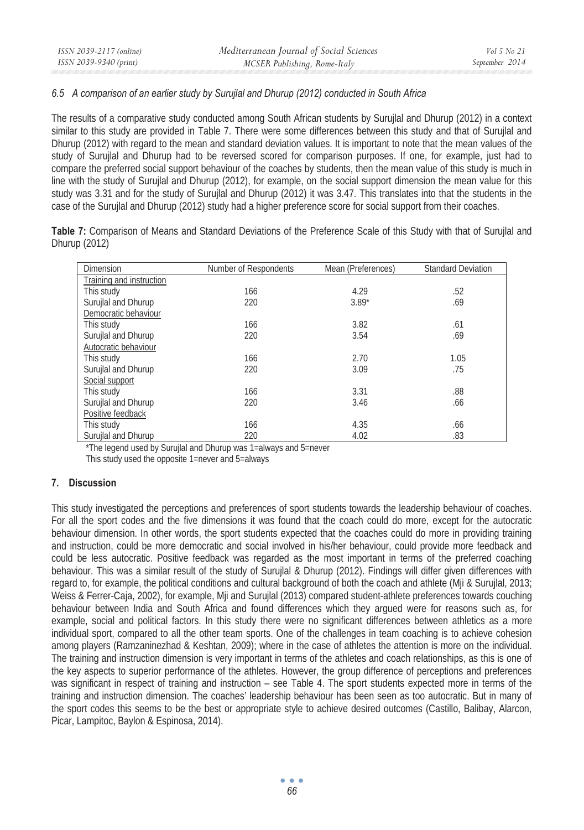#### *6.5 A comparison of an earlier study by Surujlal and Dhurup (2012) conducted in South Africa*

The results of a comparative study conducted among South African students by Surujlal and Dhurup (2012) in a context similar to this study are provided in Table 7. There were some differences between this study and that of Surujlal and Dhurup (2012) with regard to the mean and standard deviation values. It is important to note that the mean values of the study of Surujlal and Dhurup had to be reversed scored for comparison purposes. If one, for example, just had to compare the preferred social support behaviour of the coaches by students, then the mean value of this study is much in line with the study of Surujlal and Dhurup (2012), for example, on the social support dimension the mean value for this study was 3.31 and for the study of Surujlal and Dhurup (2012) it was 3.47. This translates into that the students in the case of the Surujlal and Dhurup (2012) study had a higher preference score for social support from their coaches.

**Table 7:** Comparison of Means and Standard Deviations of the Preference Scale of this Study with that of Surujlal and Dhurup (2012)

| <b>Dimension</b>         | Number of Respondents | Mean (Preferences) | <b>Standard Deviation</b> |
|--------------------------|-----------------------|--------------------|---------------------------|
| Training and instruction |                       |                    |                           |
| This study               | 166                   | 4.29               | .52                       |
| Surujlal and Dhurup      | 220                   | $3.89*$            | .69                       |
| Democratic behaviour     |                       |                    |                           |
| This study               | 166                   | 3.82               | .61                       |
| Surujlal and Dhurup      | 220                   | 3.54               | .69                       |
| Autocratic behaviour     |                       |                    |                           |
| This study               | 166                   | 2.70               | 1.05                      |
| Surujlal and Dhurup      | 220                   | 3.09               | .75                       |
| Social support           |                       |                    |                           |
| This study               | 166                   | 3.31               | .88                       |
| Surujlal and Dhurup      | 220                   | 3.46               | .66                       |
| Positive feedback        |                       |                    |                           |
| This study               | 166                   | 4.35               | .66                       |
| Surujlal and Dhurup      | 220                   | 4.02               | .83                       |

\*The legend used by Surujlal and Dhurup was 1=always and 5=never

This study used the opposite 1=never and 5=always

## **7. Discussion**

This study investigated the perceptions and preferences of sport students towards the leadership behaviour of coaches. For all the sport codes and the five dimensions it was found that the coach could do more, except for the autocratic behaviour dimension. In other words, the sport students expected that the coaches could do more in providing training and instruction, could be more democratic and social involved in his/her behaviour, could provide more feedback and could be less autocratic. Positive feedback was regarded as the most important in terms of the preferred coaching behaviour. This was a similar result of the study of Surujlal & Dhurup (2012). Findings will differ given differences with regard to, for example, the political conditions and cultural background of both the coach and athlete (Mji & Surujlal, 2013; Weiss & Ferrer-Caja, 2002), for example, Mji and Surujlal (2013) compared student-athlete preferences towards couching behaviour between India and South Africa and found differences which they argued were for reasons such as, for example, social and political factors. In this study there were no significant differences between athletics as a more individual sport, compared to all the other team sports. One of the challenges in team coaching is to achieve cohesion among players (Ramzaninezhad & Keshtan, 2009); where in the case of athletes the attention is more on the individual. The training and instruction dimension is very important in terms of the athletes and coach relationships, as this is one of the key aspects to superior performance of the athletes. However, the group difference of perceptions and preferences was significant in respect of training and instruction – see Table 4. The sport students expected more in terms of the training and instruction dimension. The coaches' leadership behaviour has been seen as too autocratic. But in many of the sport codes this seems to be the best or appropriate style to achieve desired outcomes (Castillo, Balibay, Alarcon, Picar, Lampitoc, Baylon & Espinosa, 2014).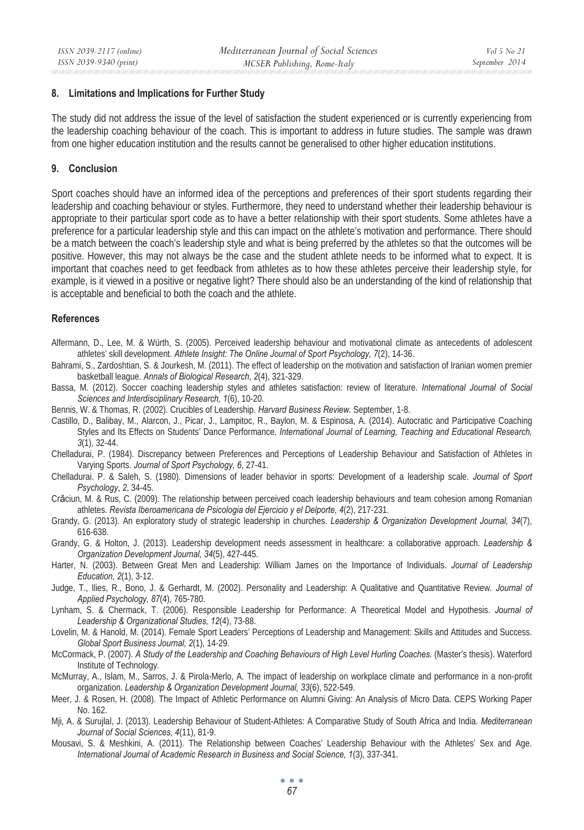#### **8. Limitations and Implications for Further Study**

The study did not address the issue of the level of satisfaction the student experienced or is currently experiencing from the leadership coaching behaviour of the coach. This is important to address in future studies. The sample was drawn from one higher education institution and the results cannot be generalised to other higher education institutions.

#### **9. Conclusion**

Sport coaches should have an informed idea of the perceptions and preferences of their sport students regarding their leadership and coaching behaviour or styles. Furthermore, they need to understand whether their leadership behaviour is appropriate to their particular sport code as to have a better relationship with their sport students. Some athletes have a preference for a particular leadership style and this can impact on the athlete's motivation and performance. There should be a match between the coach's leadership style and what is being preferred by the athletes so that the outcomes will be positive. However, this may not always be the case and the student athlete needs to be informed what to expect. It is important that coaches need to get feedback from athletes as to how these athletes perceive their leadership style, for example, is it viewed in a positive or negative light? There should also be an understanding of the kind of relationship that is acceptable and beneficial to both the coach and the athlete.

#### **References**

- Alfermann, D., Lee, M. & Würth, S. (2005). Perceived leadership behaviour and motivational climate as antecedents of adolescent athletes' skill development. *Athlete Insight: The Online Journal of Sport Psychology, 7*(2), 14-36.
- Bahrami, S., Zardoshtian, S. & Jourkesh, M. (2011). The effect of leadership on the motivation and satisfaction of Iranian women premier basketball league. *Annals of Biological Research*, *2*(4), 321-329.
- Bassa, M. (2012). Soccer coaching leadership styles and athletes satisfaction: review of literature. *International Journal of Social Sciences and Interdisciplinary Research, 1*(6), 10-20.
- Bennis, W. & Thomas, R. (2002). Crucibles of Leadership. *Harvard Business Review.* September, 1-8.
- Castillo, D., Balibay, M., Alarcon, J., Picar, J., Lampitoc, R., Baylon, M. & Espinosa, A. (2014). Autocratic and Participative Coaching Styles and Its Effects on Students' Dance Performance. *International Journal of Learning, Teaching and Educational Research, 3*(1), 32-44.
- Chelladurai, P. (1984). Discrepancy between Preferences and Perceptions of Leadership Behaviour and Satisfaction of Athletes in Varying Sports. *Journal of Sport Psychology, 6*, 27-41.
- Chelladurai. P. & Saleh, S. (1980). Dimensions of leader behavior in sports: Development of a leadership scale. *Journal of Sport Psychology*, *2*, 34-45.
- Crăciun, M. & Rus, C. (2009). The relationship between perceived coach leadership behaviours and team cohesion among Romanian athletes. *Revista Iberoamericana de Psicologia del Ejercicio y el Delporte, 4*(2), 217-231.
- Grandy, G. (2013). An exploratory study of strategic leadership in churches. *Leadership & Organization Development Journal, 34*(7), 616-638.
- Grandy, G. & Holton, J. (2013). Leadership development needs assessment in healthcare: a collaborative approach*. Leadership & Organization Development Journal, 34*(5), 427-445.
- Harter, N. (2003). Between Great Men and Leadership: William James on the Importance of Individuals. *Journal of Leadership Education, 2*(1), 3-12.
- Judge, T., Ilies, R., Bono, J. & Gerhardt, M. (2002). Personality and Leadership: A Qualitative and Quantitative Review. *Journal of Applied Psychology, 87*(4), 765-780.
- Lynham, S. & Chermack, T. (2006). Responsible Leadership for Performance: A Theoretical Model and Hypothesis. *Journal of Leadership & Organizational Studies, 12*(4), 73-88.
- Lovelin, M. & Hanold, M. (2014). Female Sport Leaders' Perceptions of Leadership and Management: Skills and Attitudes and Success. *Global Sport Business Journal, 2*(1), 14-29.
- McCormack, P. (2007). *A Study of the Leadership and Coaching Behaviours of High Level Hurling Coaches.* (Master's thesis). Waterford Institute of Technology.
- McMurray, A., Islam, M., Sarros, J. & Pirola-Merlo, A. The impact of leadership on workplace climate and performance in a non-profit organization. *Leadership & Organization Development Journal, 33*(6), 522-549.
- Meer, J. & Rosen, H. (2008). The Impact of Athletic Performance on Alumni Giving: An Analysis of Micro Data. CEPS Working Paper No. 162.
- Mji, A. & Surujlal, J. (2013). Leadership Behaviour of Student-Athletes: A Comparative Study of South Africa and India. *Mediterranean Journal of Social Sciences, 4*(11), 81-9.
- Mousavi, S. & Meshkini, A. (2011). The Relationship between Coaches' Leadership Behaviour with the Athletes' Sex and Age. *International Journal of Academic Research in Business and Social Science, 1*(3), 337-341.